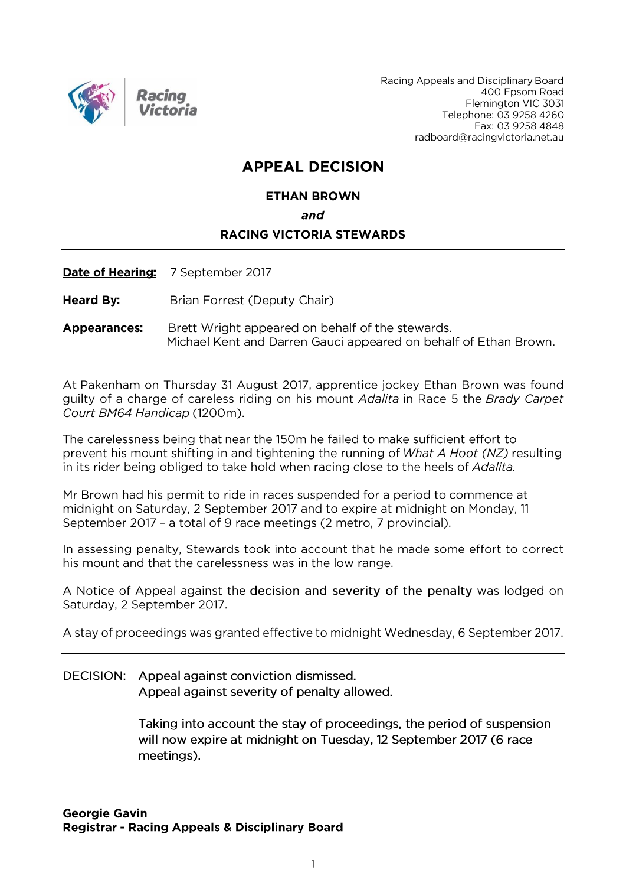

Racing Appeals and Disciplinary Board 400 Epsom Road Flemington VIC 3031 Telephone: 03 9258 4260 Fax: 03 9258 4848 radboard@racingvictoria.net.au

## **APPEAL DECISION**

## **ETHAN BROWN** and **RACING VICTORIA STEWARDS**

Date of Hearing: 7 September 2017

**Heard By:** Brian Forrest (Deputy Chair)

Brett Wright appeared on behalf of the stewards. **Appearances:** Michael Kent and Darren Gauci appeared on behalf of Ethan Brown.

At Pakenham on Thursday 31 August 2017, apprentice jockey Ethan Brown was found quilty of a charge of careless riding on his mount *Adalita* in Race 5 the *Brady Carpet* Court BM64 Handicap (1200m).

The carelessness being that near the 150m he failed to make sufficient effort to prevent his mount shifting in and tightening the running of What A Hoot (NZ) resulting in its rider being obliged to take hold when racing close to the heels of Adalita.

Mr Brown had his permit to ride in races suspended for a period to commence at midnight on Saturday, 2 September 2017 and to expire at midnight on Monday, 11 September 2017 - a total of 9 race meetings (2 metro, 7 provincial).

In assessing penalty, Stewards took into account that he made some effort to correct his mount and that the carelessness was in the low range.

A Notice of Appeal against the decision and severity of the penalty was lodged on Saturday, 2 September 2017.

A stay of proceedings was granted effective to midnight Wednesday, 6 September 2017.

DECISION: Appeal against conviction dismissed. Appeal against severity of penalty allowed.

> Taking into account the stay of proceedings, the period of suspension will now expire at midnight on Tuesday, 12 September 2017 (6 race meetings).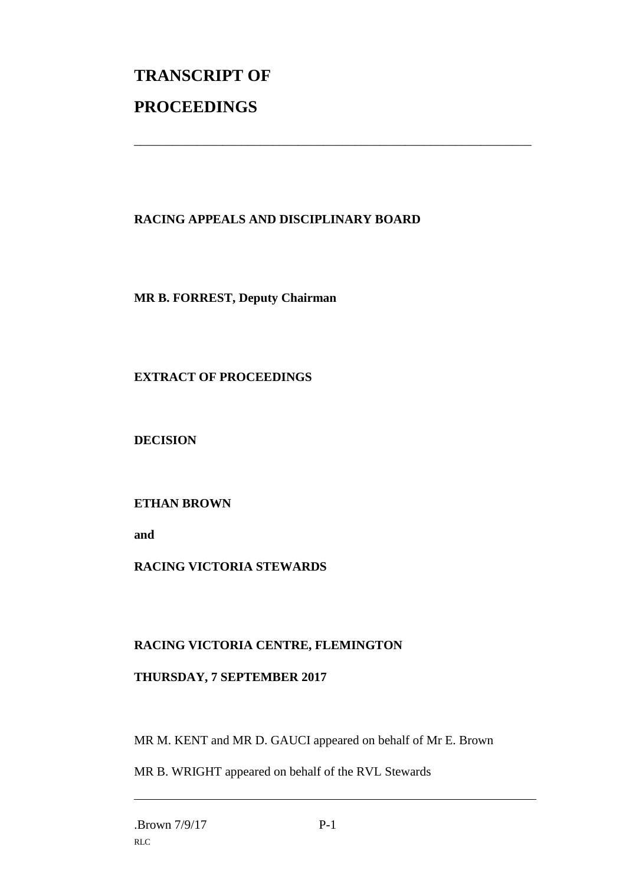# **TRANSCRIPT OF PROCEEDINGS**

### **RACING APPEALS AND DISCIPLINARY BOARD**

\_\_\_\_\_\_\_\_\_\_\_\_\_\_\_\_\_\_\_\_\_\_\_\_\_\_\_\_\_\_\_\_\_\_\_\_\_\_\_\_\_\_\_\_\_\_\_\_\_\_\_\_\_\_\_\_\_\_\_\_\_\_\_

**MR B. FORREST, Deputy Chairman**

**EXTRACT OF PROCEEDINGS**

**DECISION**

**ETHAN BROWN**

**and** 

#### **RACING VICTORIA STEWARDS**

#### **RACING VICTORIA CENTRE, FLEMINGTON**

#### **THURSDAY, 7 SEPTEMBER 2017**

MR M. KENT and MR D. GAUCI appeared on behalf of Mr E. Brown

MR B. WRIGHT appeared on behalf of the RVL Stewards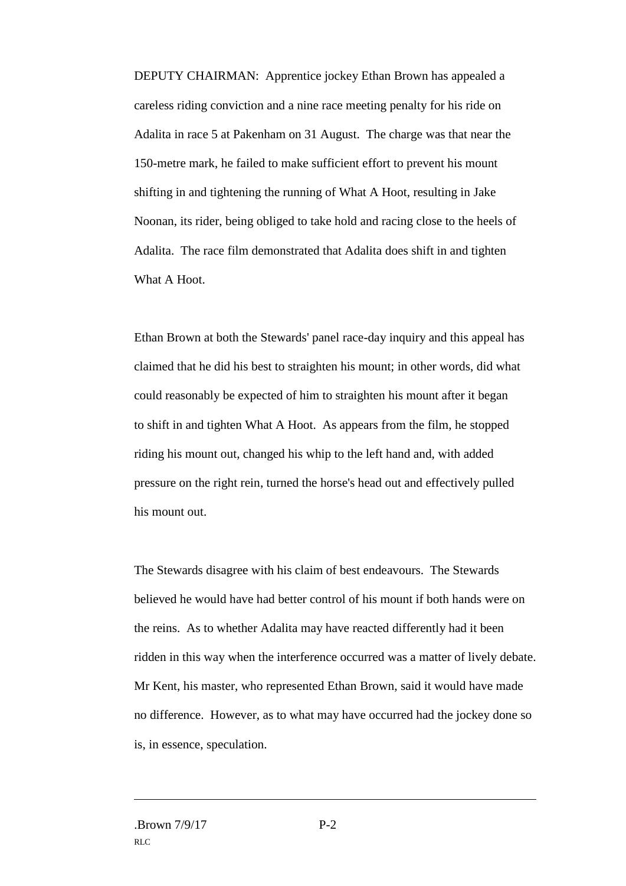DEPUTY CHAIRMAN: Apprentice jockey Ethan Brown has appealed a careless riding conviction and a nine race meeting penalty for his ride on Adalita in race 5 at Pakenham on 31 August. The charge was that near the 150-metre mark, he failed to make sufficient effort to prevent his mount shifting in and tightening the running of What A Hoot, resulting in Jake Noonan, its rider, being obliged to take hold and racing close to the heels of Adalita. The race film demonstrated that Adalita does shift in and tighten What A Hoot.

Ethan Brown at both the Stewards' panel race-day inquiry and this appeal has claimed that he did his best to straighten his mount; in other words, did what could reasonably be expected of him to straighten his mount after it began to shift in and tighten What A Hoot. As appears from the film, he stopped riding his mount out, changed his whip to the left hand and, with added pressure on the right rein, turned the horse's head out and effectively pulled his mount out.

The Stewards disagree with his claim of best endeavours. The Stewards believed he would have had better control of his mount if both hands were on the reins. As to whether Adalita may have reacted differently had it been ridden in this way when the interference occurred was a matter of lively debate. Mr Kent, his master, who represented Ethan Brown, said it would have made no difference. However, as to what may have occurred had the jockey done so is, in essence, speculation.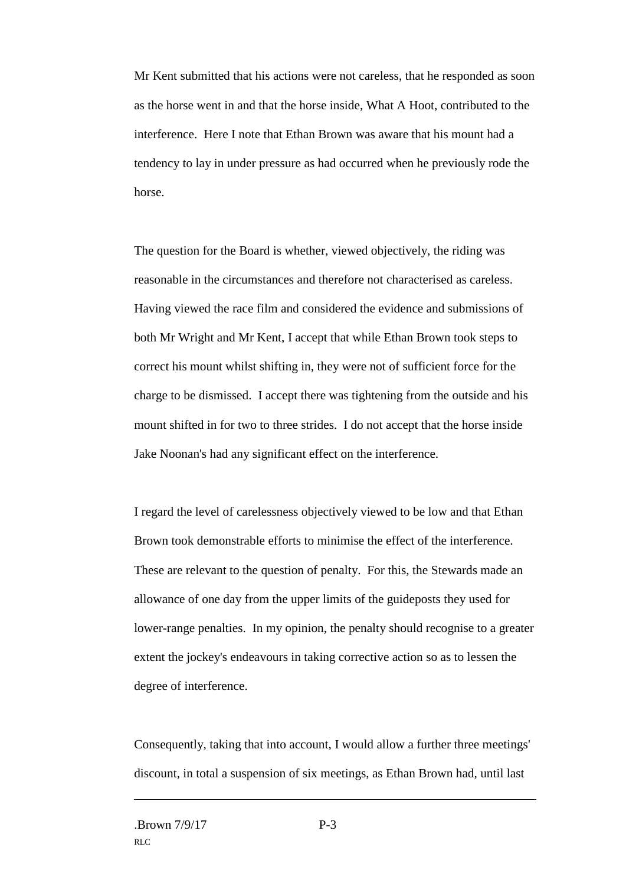Mr Kent submitted that his actions were not careless, that he responded as soon as the horse went in and that the horse inside, What A Hoot, contributed to the interference. Here I note that Ethan Brown was aware that his mount had a tendency to lay in under pressure as had occurred when he previously rode the horse.

The question for the Board is whether, viewed objectively, the riding was reasonable in the circumstances and therefore not characterised as careless. Having viewed the race film and considered the evidence and submissions of both Mr Wright and Mr Kent, I accept that while Ethan Brown took steps to correct his mount whilst shifting in, they were not of sufficient force for the charge to be dismissed. I accept there was tightening from the outside and his mount shifted in for two to three strides. I do not accept that the horse inside Jake Noonan's had any significant effect on the interference.

I regard the level of carelessness objectively viewed to be low and that Ethan Brown took demonstrable efforts to minimise the effect of the interference. These are relevant to the question of penalty. For this, the Stewards made an allowance of one day from the upper limits of the guideposts they used for lower-range penalties. In my opinion, the penalty should recognise to a greater extent the jockey's endeavours in taking corrective action so as to lessen the degree of interference.

Consequently, taking that into account, I would allow a further three meetings' discount, in total a suspension of six meetings, as Ethan Brown had, until last